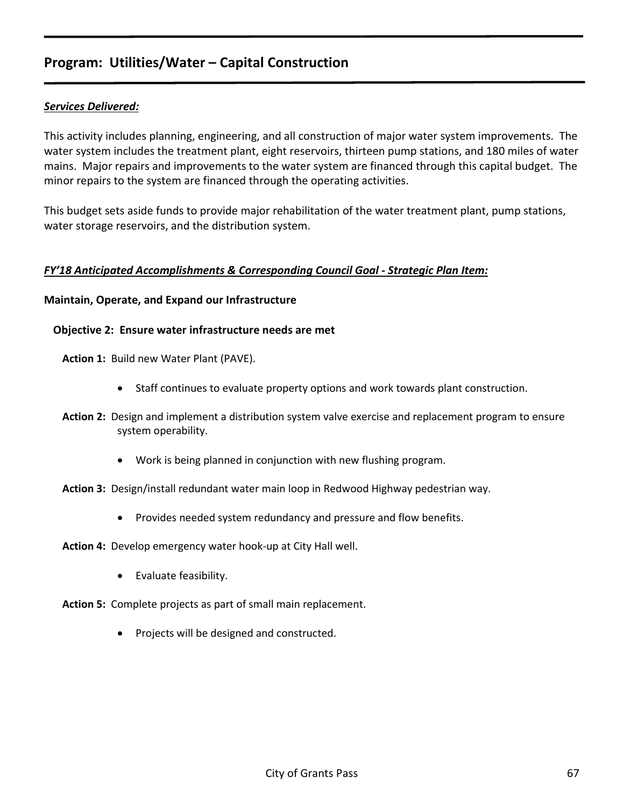## *Services Delivered:*

This activity includes planning, engineering, and all construction of major water system improvements. The water system includes the treatment plant, eight reservoirs, thirteen pump stations, and 180 miles of water mains. Major repairs and improvements to the water system are financed through this capital budget. The minor repairs to the system are financed through the operating activities.

This budget sets aside funds to provide major rehabilitation of the water treatment plant, pump stations, water storage reservoirs, and the distribution system.

## *FY'18 Anticipated Accomplishments & Corresponding Council Goal - Strategic Plan Item:*

## **Maintain, Operate, and Expand our Infrastructure**

## **Objective 2: Ensure water infrastructure needs are met**

**Action 1:** Build new Water Plant (PAVE).

- Staff continues to evaluate property options and work towards plant construction.
- **Action 2:** Design and implement a distribution system valve exercise and replacement program to ensure system operability.
	- Work is being planned in conjunction with new flushing program.
- **Action 3:** Design/install redundant water main loop in Redwood Highway pedestrian way.
	- Provides needed system redundancy and pressure and flow benefits.

**Action 4:** Develop emergency water hook-up at City Hall well.

• Evaluate feasibility.

**Action 5:** Complete projects as part of small main replacement.

• Projects will be designed and constructed.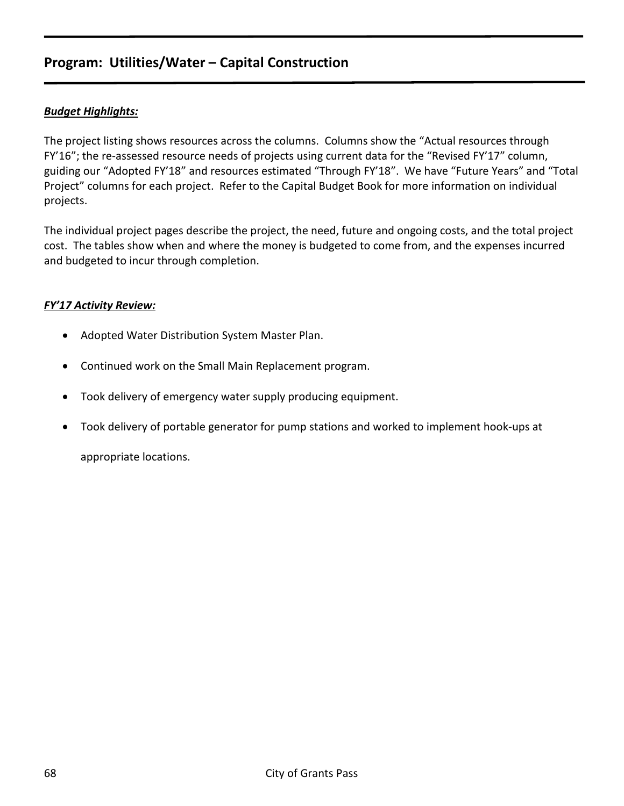## *Budget Highlights:*

The project listing shows resources across the columns. Columns show the "Actual resources through FY'16"; the re-assessed resource needs of projects using current data for the "Revised FY'17" column, guiding our "Adopted FY'18" and resources estimated "Through FY'18". We have "Future Years" and "Total Project" columns for each project. Refer to the Capital Budget Book for more information on individual projects.

The individual project pages describe the project, the need, future and ongoing costs, and the total project cost. The tables show when and where the money is budgeted to come from, and the expenses incurred and budgeted to incur through completion.

## *FY'17 Activity Review:*

- Adopted Water Distribution System Master Plan.
- Continued work on the Small Main Replacement program.
- Took delivery of emergency water supply producing equipment.
- Took delivery of portable generator for pump stations and worked to implement hook-ups at

appropriate locations.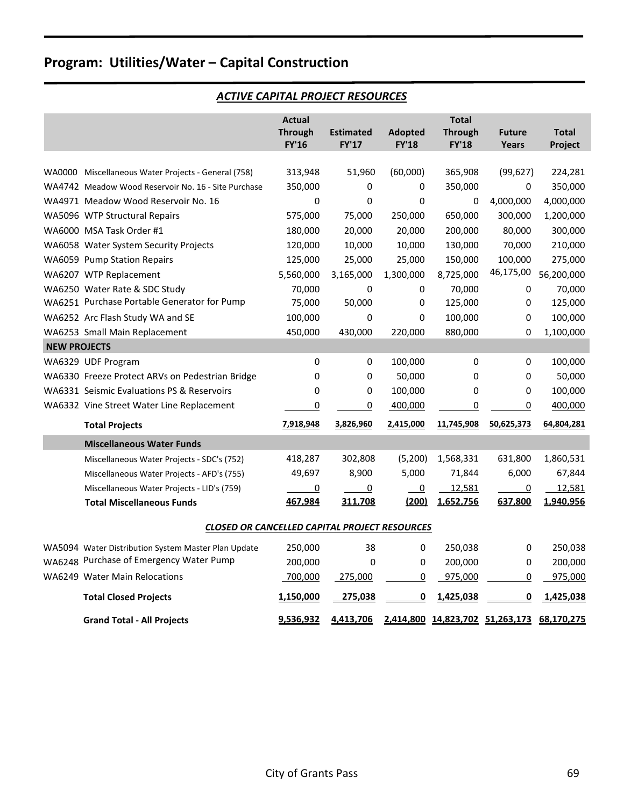## *ACTIVE CAPITAL PROJECT RESOURCES*

| <b>FY'16</b><br><b>FY'17</b><br><b>FY'18</b><br><b>FY'18</b><br>Project<br>Years<br>313,948<br>(60,000)<br>365,908<br>(99, 627)<br>224,281<br>51,960<br>WA0000 Miscellaneous Water Projects - General (758)<br>350,000<br>350,000<br>0<br>350,000<br>WA4742 Meadow Wood Reservoir No. 16 - Site Purchase<br>0<br>0<br>0<br>4,000,000<br>4,000,000<br>WA4971 Meadow Wood Reservoir No. 16<br>0<br>0<br>0<br>575,000<br>75,000<br>250,000<br>650,000<br>300,000<br>1,200,000<br>WA5096 WTP Structural Repairs<br>20,000<br>20,000<br>200,000<br>80,000<br>300,000<br>WA6000 MSA Task Order #1<br>180,000<br>210,000<br>120,000<br>10,000<br>10,000<br>130,000<br>70,000<br>WA6058 Water System Security Projects<br>150,000<br>100,000<br>275,000<br>WA6059 Pump Station Repairs<br>125,000<br>25,000<br>25,000<br>46,175,00<br>56,200,000<br>5,560,000<br>3,165,000<br>1,300,000<br>8,725,000<br>WA6207 WTP Replacement<br>70,000<br>$\pmb{0}$<br>70,000<br>WA6250 Water Rate & SDC Study<br>0<br>70,000<br>0<br>WA6251 Purchase Portable Generator for Pump<br>75,000<br>50,000<br>125,000<br>125,000<br>0<br>0<br>100,000<br>100,000<br>100,000<br>WA6252 Arc Flash Study WA and SE<br>0<br>0<br>0<br>WA6253 Small Main Replacement<br>450,000<br>430,000<br>220,000<br>880,000<br>1,100,000<br>$\Omega$<br><b>NEW PROJECTS</b><br>0<br>0<br>100,000<br>0<br>100,000<br>WA6329 UDF Program<br>0<br>0<br>50,000<br>$\Omega$<br>50,000<br>WA6330 Freeze Protect ARVs on Pedestrian Bridge<br>0<br>$\Omega$<br>100,000<br>WA6331 Seismic Evaluations PS & Reservoirs<br>0<br>100,000<br>0<br>$\mathbf 0$<br>0<br>WA6332 Vine Street Water Line Replacement<br>0<br>400,000<br>0<br>0<br>400,000<br>0<br>64,804,281<br>7,918,948<br>3,826,960<br>2,415,000<br>11,745,908<br>50,625,373<br><b>Total Projects</b><br><b>Miscellaneous Water Funds</b><br>(5, 200)<br>418,287<br>302,808<br>1,568,331<br>631,800<br>1,860,531<br>Miscellaneous Water Projects - SDC's (752)<br>8,900<br>5,000<br>49,697<br>71,844<br>6,000<br>67,844<br>Miscellaneous Water Projects - AFD's (755)<br>$\overline{0}$<br>$\overline{0}$<br>12,581<br>$\overline{0}$<br>12,581<br>$\overline{0}$<br>Miscellaneous Water Projects - LID's (759)<br>467,984<br>(200)<br>1,652,756<br>637,800<br>1,940,956<br><b>Total Miscellaneous Funds</b><br>311,708 |
|--------------------------------------------------------------------------------------------------------------------------------------------------------------------------------------------------------------------------------------------------------------------------------------------------------------------------------------------------------------------------------------------------------------------------------------------------------------------------------------------------------------------------------------------------------------------------------------------------------------------------------------------------------------------------------------------------------------------------------------------------------------------------------------------------------------------------------------------------------------------------------------------------------------------------------------------------------------------------------------------------------------------------------------------------------------------------------------------------------------------------------------------------------------------------------------------------------------------------------------------------------------------------------------------------------------------------------------------------------------------------------------------------------------------------------------------------------------------------------------------------------------------------------------------------------------------------------------------------------------------------------------------------------------------------------------------------------------------------------------------------------------------------------------------------------------------------------------------------------------------------------------------------------------------------------------------------------------------------------------------------------------------------------------------------------------------------------------------------------------------------------------------------------------------------------------------------------------------------------------------------------------------------------------------------------------------------------|
|                                                                                                                                                                                                                                                                                                                                                                                                                                                                                                                                                                                                                                                                                                                                                                                                                                                                                                                                                                                                                                                                                                                                                                                                                                                                                                                                                                                                                                                                                                                                                                                                                                                                                                                                                                                                                                                                                                                                                                                                                                                                                                                                                                                                                                                                                                                                |
|                                                                                                                                                                                                                                                                                                                                                                                                                                                                                                                                                                                                                                                                                                                                                                                                                                                                                                                                                                                                                                                                                                                                                                                                                                                                                                                                                                                                                                                                                                                                                                                                                                                                                                                                                                                                                                                                                                                                                                                                                                                                                                                                                                                                                                                                                                                                |
|                                                                                                                                                                                                                                                                                                                                                                                                                                                                                                                                                                                                                                                                                                                                                                                                                                                                                                                                                                                                                                                                                                                                                                                                                                                                                                                                                                                                                                                                                                                                                                                                                                                                                                                                                                                                                                                                                                                                                                                                                                                                                                                                                                                                                                                                                                                                |
|                                                                                                                                                                                                                                                                                                                                                                                                                                                                                                                                                                                                                                                                                                                                                                                                                                                                                                                                                                                                                                                                                                                                                                                                                                                                                                                                                                                                                                                                                                                                                                                                                                                                                                                                                                                                                                                                                                                                                                                                                                                                                                                                                                                                                                                                                                                                |
|                                                                                                                                                                                                                                                                                                                                                                                                                                                                                                                                                                                                                                                                                                                                                                                                                                                                                                                                                                                                                                                                                                                                                                                                                                                                                                                                                                                                                                                                                                                                                                                                                                                                                                                                                                                                                                                                                                                                                                                                                                                                                                                                                                                                                                                                                                                                |
|                                                                                                                                                                                                                                                                                                                                                                                                                                                                                                                                                                                                                                                                                                                                                                                                                                                                                                                                                                                                                                                                                                                                                                                                                                                                                                                                                                                                                                                                                                                                                                                                                                                                                                                                                                                                                                                                                                                                                                                                                                                                                                                                                                                                                                                                                                                                |
|                                                                                                                                                                                                                                                                                                                                                                                                                                                                                                                                                                                                                                                                                                                                                                                                                                                                                                                                                                                                                                                                                                                                                                                                                                                                                                                                                                                                                                                                                                                                                                                                                                                                                                                                                                                                                                                                                                                                                                                                                                                                                                                                                                                                                                                                                                                                |
|                                                                                                                                                                                                                                                                                                                                                                                                                                                                                                                                                                                                                                                                                                                                                                                                                                                                                                                                                                                                                                                                                                                                                                                                                                                                                                                                                                                                                                                                                                                                                                                                                                                                                                                                                                                                                                                                                                                                                                                                                                                                                                                                                                                                                                                                                                                                |
|                                                                                                                                                                                                                                                                                                                                                                                                                                                                                                                                                                                                                                                                                                                                                                                                                                                                                                                                                                                                                                                                                                                                                                                                                                                                                                                                                                                                                                                                                                                                                                                                                                                                                                                                                                                                                                                                                                                                                                                                                                                                                                                                                                                                                                                                                                                                |
|                                                                                                                                                                                                                                                                                                                                                                                                                                                                                                                                                                                                                                                                                                                                                                                                                                                                                                                                                                                                                                                                                                                                                                                                                                                                                                                                                                                                                                                                                                                                                                                                                                                                                                                                                                                                                                                                                                                                                                                                                                                                                                                                                                                                                                                                                                                                |
|                                                                                                                                                                                                                                                                                                                                                                                                                                                                                                                                                                                                                                                                                                                                                                                                                                                                                                                                                                                                                                                                                                                                                                                                                                                                                                                                                                                                                                                                                                                                                                                                                                                                                                                                                                                                                                                                                                                                                                                                                                                                                                                                                                                                                                                                                                                                |
|                                                                                                                                                                                                                                                                                                                                                                                                                                                                                                                                                                                                                                                                                                                                                                                                                                                                                                                                                                                                                                                                                                                                                                                                                                                                                                                                                                                                                                                                                                                                                                                                                                                                                                                                                                                                                                                                                                                                                                                                                                                                                                                                                                                                                                                                                                                                |
|                                                                                                                                                                                                                                                                                                                                                                                                                                                                                                                                                                                                                                                                                                                                                                                                                                                                                                                                                                                                                                                                                                                                                                                                                                                                                                                                                                                                                                                                                                                                                                                                                                                                                                                                                                                                                                                                                                                                                                                                                                                                                                                                                                                                                                                                                                                                |
|                                                                                                                                                                                                                                                                                                                                                                                                                                                                                                                                                                                                                                                                                                                                                                                                                                                                                                                                                                                                                                                                                                                                                                                                                                                                                                                                                                                                                                                                                                                                                                                                                                                                                                                                                                                                                                                                                                                                                                                                                                                                                                                                                                                                                                                                                                                                |
|                                                                                                                                                                                                                                                                                                                                                                                                                                                                                                                                                                                                                                                                                                                                                                                                                                                                                                                                                                                                                                                                                                                                                                                                                                                                                                                                                                                                                                                                                                                                                                                                                                                                                                                                                                                                                                                                                                                                                                                                                                                                                                                                                                                                                                                                                                                                |
|                                                                                                                                                                                                                                                                                                                                                                                                                                                                                                                                                                                                                                                                                                                                                                                                                                                                                                                                                                                                                                                                                                                                                                                                                                                                                                                                                                                                                                                                                                                                                                                                                                                                                                                                                                                                                                                                                                                                                                                                                                                                                                                                                                                                                                                                                                                                |
|                                                                                                                                                                                                                                                                                                                                                                                                                                                                                                                                                                                                                                                                                                                                                                                                                                                                                                                                                                                                                                                                                                                                                                                                                                                                                                                                                                                                                                                                                                                                                                                                                                                                                                                                                                                                                                                                                                                                                                                                                                                                                                                                                                                                                                                                                                                                |
|                                                                                                                                                                                                                                                                                                                                                                                                                                                                                                                                                                                                                                                                                                                                                                                                                                                                                                                                                                                                                                                                                                                                                                                                                                                                                                                                                                                                                                                                                                                                                                                                                                                                                                                                                                                                                                                                                                                                                                                                                                                                                                                                                                                                                                                                                                                                |
|                                                                                                                                                                                                                                                                                                                                                                                                                                                                                                                                                                                                                                                                                                                                                                                                                                                                                                                                                                                                                                                                                                                                                                                                                                                                                                                                                                                                                                                                                                                                                                                                                                                                                                                                                                                                                                                                                                                                                                                                                                                                                                                                                                                                                                                                                                                                |
|                                                                                                                                                                                                                                                                                                                                                                                                                                                                                                                                                                                                                                                                                                                                                                                                                                                                                                                                                                                                                                                                                                                                                                                                                                                                                                                                                                                                                                                                                                                                                                                                                                                                                                                                                                                                                                                                                                                                                                                                                                                                                                                                                                                                                                                                                                                                |
|                                                                                                                                                                                                                                                                                                                                                                                                                                                                                                                                                                                                                                                                                                                                                                                                                                                                                                                                                                                                                                                                                                                                                                                                                                                                                                                                                                                                                                                                                                                                                                                                                                                                                                                                                                                                                                                                                                                                                                                                                                                                                                                                                                                                                                                                                                                                |
|                                                                                                                                                                                                                                                                                                                                                                                                                                                                                                                                                                                                                                                                                                                                                                                                                                                                                                                                                                                                                                                                                                                                                                                                                                                                                                                                                                                                                                                                                                                                                                                                                                                                                                                                                                                                                                                                                                                                                                                                                                                                                                                                                                                                                                                                                                                                |
|                                                                                                                                                                                                                                                                                                                                                                                                                                                                                                                                                                                                                                                                                                                                                                                                                                                                                                                                                                                                                                                                                                                                                                                                                                                                                                                                                                                                                                                                                                                                                                                                                                                                                                                                                                                                                                                                                                                                                                                                                                                                                                                                                                                                                                                                                                                                |
|                                                                                                                                                                                                                                                                                                                                                                                                                                                                                                                                                                                                                                                                                                                                                                                                                                                                                                                                                                                                                                                                                                                                                                                                                                                                                                                                                                                                                                                                                                                                                                                                                                                                                                                                                                                                                                                                                                                                                                                                                                                                                                                                                                                                                                                                                                                                |
| <b>CLOSED OR CANCELLED CAPITAL PROJECT RESOURCES</b>                                                                                                                                                                                                                                                                                                                                                                                                                                                                                                                                                                                                                                                                                                                                                                                                                                                                                                                                                                                                                                                                                                                                                                                                                                                                                                                                                                                                                                                                                                                                                                                                                                                                                                                                                                                                                                                                                                                                                                                                                                                                                                                                                                                                                                                                           |
| 250,000<br>38<br>0<br>250,038<br>250,038<br>WA5094 Water Distribution System Master Plan Update<br>0                                                                                                                                                                                                                                                                                                                                                                                                                                                                                                                                                                                                                                                                                                                                                                                                                                                                                                                                                                                                                                                                                                                                                                                                                                                                                                                                                                                                                                                                                                                                                                                                                                                                                                                                                                                                                                                                                                                                                                                                                                                                                                                                                                                                                           |
| WA6248 Purchase of Emergency Water Pump<br>200,000<br>0<br>0<br>200,000<br>200,000<br>0                                                                                                                                                                                                                                                                                                                                                                                                                                                                                                                                                                                                                                                                                                                                                                                                                                                                                                                                                                                                                                                                                                                                                                                                                                                                                                                                                                                                                                                                                                                                                                                                                                                                                                                                                                                                                                                                                                                                                                                                                                                                                                                                                                                                                                        |
| <b>WA6249 Water Main Relocations</b><br>700,000<br>275,000<br>0<br>975,000<br>975,000<br>0                                                                                                                                                                                                                                                                                                                                                                                                                                                                                                                                                                                                                                                                                                                                                                                                                                                                                                                                                                                                                                                                                                                                                                                                                                                                                                                                                                                                                                                                                                                                                                                                                                                                                                                                                                                                                                                                                                                                                                                                                                                                                                                                                                                                                                     |
| $\overline{\mathbf{0}}$<br>1,150,000<br>275,038<br>1,425,038<br>0<br>1,425,038<br><b>Total Closed Projects</b>                                                                                                                                                                                                                                                                                                                                                                                                                                                                                                                                                                                                                                                                                                                                                                                                                                                                                                                                                                                                                                                                                                                                                                                                                                                                                                                                                                                                                                                                                                                                                                                                                                                                                                                                                                                                                                                                                                                                                                                                                                                                                                                                                                                                                 |
| 9,536,932<br>4,413,706<br>2,414,800 14,823,702 51,263,173<br>68,170,275<br><b>Grand Total - All Projects</b>                                                                                                                                                                                                                                                                                                                                                                                                                                                                                                                                                                                                                                                                                                                                                                                                                                                                                                                                                                                                                                                                                                                                                                                                                                                                                                                                                                                                                                                                                                                                                                                                                                                                                                                                                                                                                                                                                                                                                                                                                                                                                                                                                                                                                   |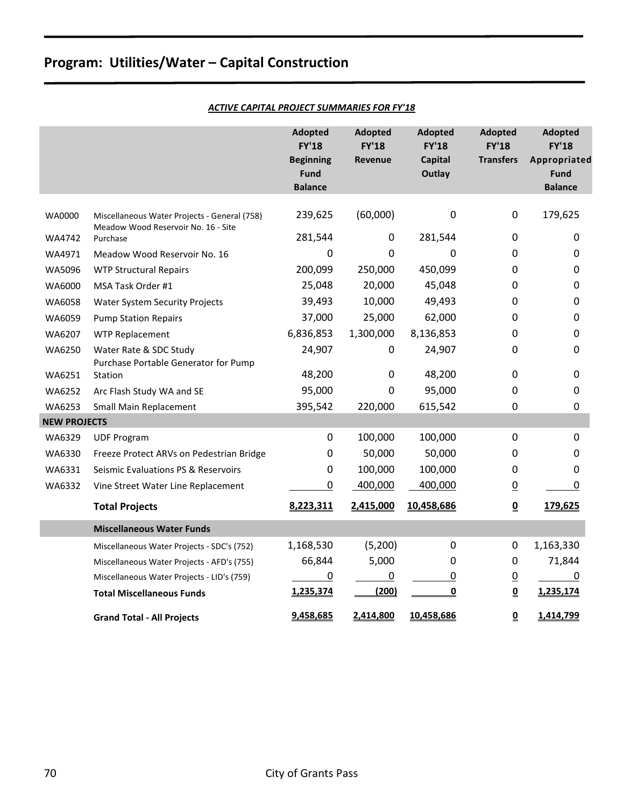|  |  |  | <b>ACTIVE CAPITAL PROJECT SUMMARIES FOR FY'18</b> |
|--|--|--|---------------------------------------------------|
|--|--|--|---------------------------------------------------|

|                     |                                                                                     | <b>Adopted</b><br><b>FY'18</b><br><b>Beginning</b><br><b>Fund</b><br><b>Balance</b> | <b>Adopted</b><br><b>FY'18</b><br><b>Revenue</b> | <b>Adopted</b><br><b>FY'18</b><br><b>Capital</b><br>Outlay | <b>Adopted</b><br><b>FY'18</b><br><b>Transfers</b> | <b>Adopted</b><br><b>FY'18</b><br>Appropriated<br><b>Fund</b><br><b>Balance</b> |
|---------------------|-------------------------------------------------------------------------------------|-------------------------------------------------------------------------------------|--------------------------------------------------|------------------------------------------------------------|----------------------------------------------------|---------------------------------------------------------------------------------|
| WA0000              |                                                                                     | 239,625                                                                             | (60,000)                                         | 0                                                          | 0                                                  | 179,625                                                                         |
|                     | Miscellaneous Water Projects - General (758)<br>Meadow Wood Reservoir No. 16 - Site |                                                                                     |                                                  |                                                            |                                                    |                                                                                 |
| WA4742              | Purchase                                                                            | 281,544                                                                             | 0                                                | 281,544                                                    | 0                                                  | 0                                                                               |
| WA4971              | Meadow Wood Reservoir No. 16                                                        | 0                                                                                   | 0                                                | 0                                                          | 0                                                  | 0                                                                               |
| WA5096              | <b>WTP Structural Repairs</b>                                                       | 200,099                                                                             | 250,000                                          | 450,099                                                    | 0                                                  | 0                                                                               |
| WA6000              | MSA Task Order #1                                                                   | 25,048                                                                              | 20,000                                           | 45,048                                                     | 0                                                  | 0                                                                               |
| WA6058              | Water System Security Projects                                                      | 39,493                                                                              | 10,000                                           | 49,493                                                     | 0                                                  | 0                                                                               |
| WA6059              | <b>Pump Station Repairs</b>                                                         | 37,000                                                                              | 25,000                                           | 62,000                                                     | 0                                                  | 0                                                                               |
| WA6207              | WTP Replacement                                                                     | 6,836,853                                                                           | 1,300,000                                        | 8,136,853                                                  | 0                                                  | 0                                                                               |
| WA6250              | Water Rate & SDC Study<br>Purchase Portable Generator for Pump                      | 24,907                                                                              | $\boldsymbol{0}$                                 | 24,907                                                     | 0                                                  | 0                                                                               |
| WA6251              | Station                                                                             | 48,200                                                                              | 0                                                | 48,200                                                     | 0                                                  | 0                                                                               |
| WA6252              | Arc Flash Study WA and SE                                                           | 95,000                                                                              | $\mathbf 0$                                      | 95,000                                                     | 0                                                  | 0                                                                               |
| WA6253              | <b>Small Main Replacement</b>                                                       | 395,542                                                                             | 220,000                                          | 615,542                                                    | 0                                                  | 0                                                                               |
| <b>NEW PROJECTS</b> |                                                                                     |                                                                                     |                                                  |                                                            |                                                    |                                                                                 |
| WA6329              | <b>UDF Program</b>                                                                  | 0                                                                                   | 100,000                                          | 100,000                                                    | 0                                                  | $\pmb{0}$                                                                       |
| WA6330              | Freeze Protect ARVs on Pedestrian Bridge                                            | 0                                                                                   | 50,000                                           | 50,000                                                     | 0                                                  | 0                                                                               |
| WA6331              | Seismic Evaluations PS & Reservoirs                                                 | 0                                                                                   | 100,000                                          | 100,000                                                    | 0                                                  | 0                                                                               |
| WA6332              | Vine Street Water Line Replacement                                                  | 0                                                                                   | 400,000                                          | 400,000                                                    | $\underline{0}$                                    | 0                                                                               |
|                     | <b>Total Projects</b>                                                               | 8,223,311                                                                           | 2,415,000                                        | 10,458,686                                                 | $\underline{\mathbf{0}}$                           | 179,625                                                                         |
|                     | <b>Miscellaneous Water Funds</b>                                                    |                                                                                     |                                                  |                                                            |                                                    |                                                                                 |
|                     | Miscellaneous Water Projects - SDC's (752)                                          | 1,168,530                                                                           | (5,200)                                          | 0                                                          | 0                                                  | 1,163,330                                                                       |
|                     | Miscellaneous Water Projects - AFD's (755)                                          | 66,844                                                                              | 5,000                                            | 0                                                          | 0                                                  | 71,844                                                                          |
|                     | Miscellaneous Water Projects - LID's (759)                                          | $\overline{0}$                                                                      | $\overline{0}$                                   | <u>0</u>                                                   | $\overline{0}$                                     | 0                                                                               |
|                     | <b>Total Miscellaneous Funds</b>                                                    | 1,235,374                                                                           | (200)                                            | $\overline{\mathbf{0}}$                                    | $\underline{\mathbf{0}}$                           | 1,235,174                                                                       |
|                     | <b>Grand Total - All Projects</b>                                                   | 9,458,685                                                                           | 2,414,800                                        | 10,458,686                                                 | $\underline{\mathbf{0}}$                           | 1,414,799                                                                       |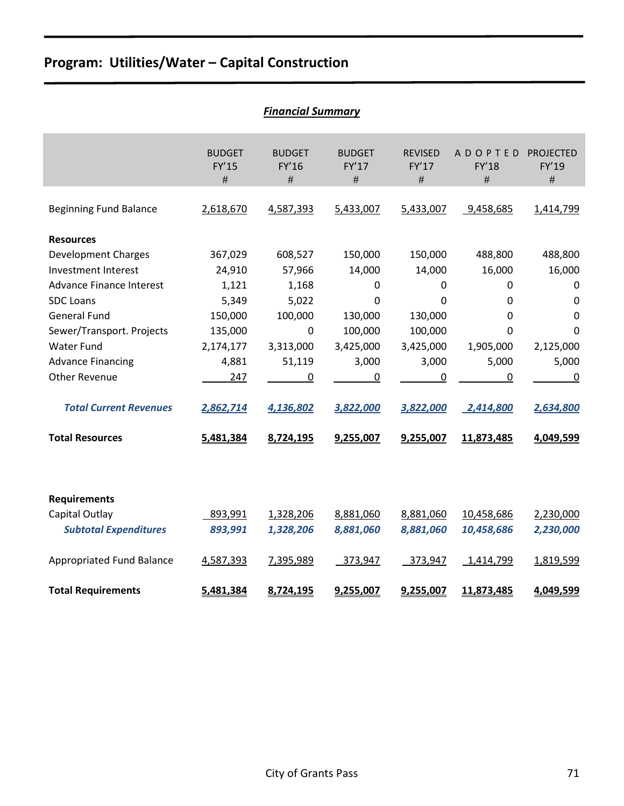|                                  |                                | <b>Financial Summary</b>    |                                       |                                 |                                     |                                   |
|----------------------------------|--------------------------------|-----------------------------|---------------------------------------|---------------------------------|-------------------------------------|-----------------------------------|
|                                  | <b>BUDGET</b><br>FY'15<br>$\#$ | <b>BUDGET</b><br>FY'16<br># | <b>BUDGET</b><br><b>FY'17</b><br>$\#$ | <b>REVISED</b><br>FY'17<br>$\#$ | <b>ADOPTED</b><br><b>FY'18</b><br># | <b>PROJECTED</b><br>FY'19<br>$\#$ |
| <b>Beginning Fund Balance</b>    | 2,618,670                      | 4,587,393                   | 5,433,007                             | 5,433,007                       | 9,458,685                           | 1,414,799                         |
| <b>Resources</b>                 |                                |                             |                                       |                                 |                                     |                                   |
| <b>Development Charges</b>       | 367,029                        | 608,527                     | 150,000                               | 150,000                         | 488,800                             | 488,800                           |
| <b>Investment Interest</b>       | 24,910                         | 57,966                      | 14,000                                | 14,000                          | 16,000                              | 16,000                            |
| <b>Advance Finance Interest</b>  | 1,121                          | 1,168                       | 0                                     | 0                               | $\Omega$                            | 0                                 |
| <b>SDC Loans</b>                 | 5,349                          | 5,022                       | 0                                     | $\Omega$                        | 0                                   | $\mathbf 0$                       |
| <b>General Fund</b>              | 150,000                        | 100,000                     | 130,000                               | 130,000                         | 0                                   | $\mathbf 0$                       |
| Sewer/Transport. Projects        | 135,000                        | $\mathbf 0$                 | 100,000                               | 100,000                         | 0                                   | $\Omega$                          |
| <b>Water Fund</b>                | 2,174,177                      | 3,313,000                   | 3,425,000                             | 3,425,000                       | 1,905,000                           | 2,125,000                         |
| <b>Advance Financing</b>         | 4,881                          | 51,119                      | 3,000                                 | 3,000                           | 5,000                               | 5,000                             |
| <b>Other Revenue</b>             | 247                            | 0                           | 0                                     | $\mathbf 0$                     | 0                                   | 0                                 |
| <b>Total Current Revenues</b>    | 2,862,714                      | 4,136,802                   | 3,822,000                             | 3,822,000                       | 2,414,800                           | 2,634,800                         |
| <b>Total Resources</b>           | 5,481,384                      | 8,724,195                   | 9,255,007                             | 9,255,007                       | 11,873,485                          | 4,049,599                         |
|                                  |                                |                             |                                       |                                 |                                     |                                   |
| <b>Requirements</b>              |                                |                             |                                       |                                 |                                     |                                   |
| Capital Outlay                   | 893,991                        | 1,328,206                   | 8,881,060                             | 8,881,060                       | 10,458,686                          | 2,230,000                         |
| <b>Subtotal Expenditures</b>     | 893,991                        | 1,328,206                   | 8,881,060                             | 8,881,060                       | 10,458,686                          | 2,230,000                         |
| <b>Appropriated Fund Balance</b> | 4,587,393                      | 7,395,989                   | 373,947                               | 373,947                         | 1,414,799                           | 1,819,599                         |
| <b>Total Requirements</b>        | 5,481,384                      | 8,724,195                   | 9,255,007                             | 9,255,007                       | 11,873,485                          | 4,049,599                         |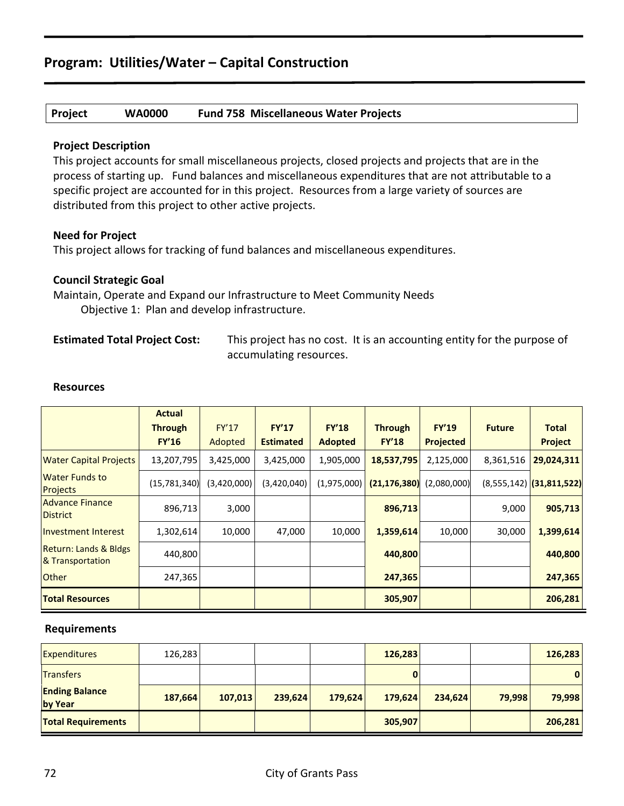## **Project WA0000 Fund 758 Miscellaneous Water Projects**

## **Project Description**

This project accounts for small miscellaneous projects, closed projects and projects that are in the process of starting up. Fund balances and miscellaneous expenditures that are not attributable to a specific project are accounted for in this project. Resources from a large variety of sources are distributed from this project to other active projects.

## **Need for Project**

This project allows for tracking of fund balances and miscellaneous expenditures.

## **Council Strategic Goal**

Maintain, Operate and Expand our Infrastructure to Meet Community Needs Objective 1: Plan and develop infrastructure.

**Estimated Total Project Cost:** This project has no cost. It is an accounting entity for the purpose of accumulating resources.

|                                                      | <b>Actual</b><br><b>Through</b><br>FY'16 | FY'17<br>Adopted | <b>FY'17</b><br><b>Estimated</b> | <b>FY'18</b><br><b>Adopted</b> | <b>Through</b><br><b>FY'18</b> | <b>FY'19</b><br>Projected | <b>Future</b> | <b>Total</b><br><b>Project</b> |
|------------------------------------------------------|------------------------------------------|------------------|----------------------------------|--------------------------------|--------------------------------|---------------------------|---------------|--------------------------------|
| <b>Water Capital Projects</b>                        | 13,207,795                               | 3,425,000        | 3,425,000                        | 1,905,000                      | 18,537,795                     | 2,125,000                 | 8,361,516     | 29,024,311                     |
| <b>Water Funds to</b><br><b>Projects</b>             | (15,781,340)                             | (3,420,000)      | (3,420,040)                      | (1,975,000)                    | (21, 176, 380)                 | (2,080,000)               |               | $(8,555,142)$ (31,811,522)     |
| <b>Advance Finance</b><br><b>District</b>            | 896,713                                  | 3,000            |                                  |                                | 896,713                        |                           | 9,000         | 905,713                        |
| Investment Interest                                  | 1,302,614                                | 10,000           | 47,000                           | 10,000                         | 1,359,614                      | 10,000                    | 30,000        | 1,399,614                      |
| <b>Return: Lands &amp; Bldgs</b><br>& Transportation | 440,800                                  |                  |                                  |                                | 440,800                        |                           |               | 440,800                        |
| <b>Other</b>                                         | 247,365                                  |                  |                                  |                                | 247,365                        |                           |               | 247,365                        |
| <b>Total Resources</b>                               |                                          |                  |                                  |                                | 305,907                        |                           |               | 206,281                        |

#### **Resources**

| <b>Expenditures</b>              | 126,283 |         |         |         | 126,283 |         |        | 126,283      |
|----------------------------------|---------|---------|---------|---------|---------|---------|--------|--------------|
| <b>Transfers</b>                 |         |         |         |         |         |         |        | $\mathbf{0}$ |
| <b>Ending Balance</b><br>by Year | 187,664 | 107,013 | 239,624 | 179,624 | 179,624 | 234,624 | 79,998 | 79,998       |
| <b>Total Requirements</b>        |         |         |         |         | 305,907 |         |        | 206,281      |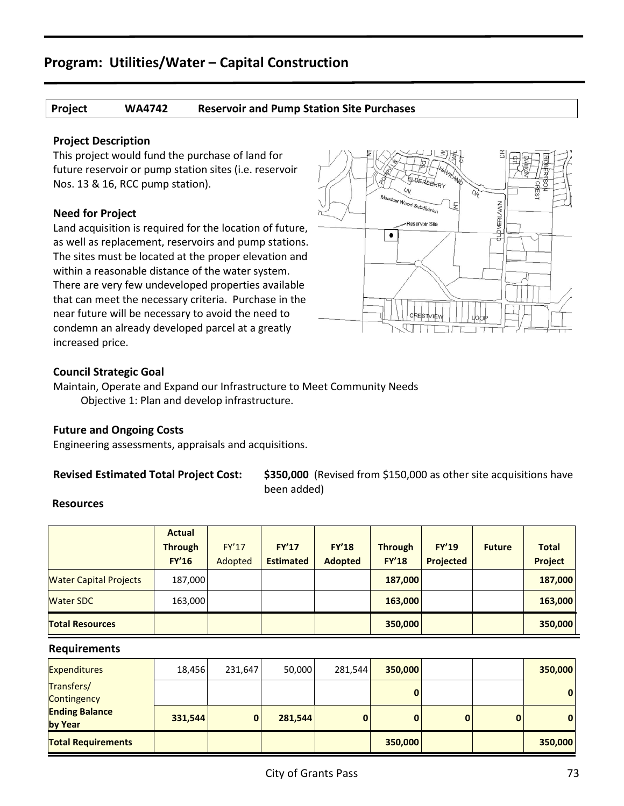## **Project WA4742 Reservoir and Pump Station Site Purchases**

## **Project Description**

This project would fund the purchase of land for future reservoir or pump station sites (i.e. reservoir Nos. 13 & 16, RCC pump station).

## **Need for Project**

Land acquisition is required for the location of future, as well as replacement, reservoirs and pump stations. The sites must be located at the proper elevation and within a reasonable distance of the water system. There are very few undeveloped properties available that can meet the necessary criteria. Purchase in the near future will be necessary to avoid the need to condemn an already developed parcel at a greatly increased price.



## **Council Strategic Goal**

Maintain, Operate and Expand our Infrastructure to Meet Community Needs Objective 1: Plan and develop infrastructure.

## **Future and Ongoing Costs**

Engineering assessments, appraisals and acquisitions.

**Revised Estimated Total Project Cost: \$350,000** (Revised from \$150,000 as other site acquisitions have been added)

## **Resources**

|                               | <b>Actual</b>  |              |                  |                |                |                  |               |              |
|-------------------------------|----------------|--------------|------------------|----------------|----------------|------------------|---------------|--------------|
|                               | <b>Through</b> | <b>FY'17</b> | <b>FY'17</b>     | <b>FY'18</b>   | <b>Through</b> | <b>FY'19</b>     | <b>Future</b> | <b>Total</b> |
|                               | <b>FY'16</b>   | Adopted      | <b>Estimated</b> | <b>Adopted</b> | <b>FY'18</b>   | <b>Projected</b> |               | Project      |
| <b>Water Capital Projects</b> | 187,000        |              |                  |                | 187,000        |                  |               | 187,000      |
| <b>Water SDC</b>              | 163,000        |              |                  |                | 163,000        |                  |               | 163,000      |
| <b>Total Resources</b>        |                |              |                  |                | 350,000        |                  |               | 350,000      |

| <b>Expenditures</b>              | 18,456  | 231,647 | 50,000  | 281,544 | 350,000 |              |   | 350,000      |
|----------------------------------|---------|---------|---------|---------|---------|--------------|---|--------------|
| Transfers/<br>Contingency        |         |         |         |         | 0       |              |   | 0            |
| <b>Ending Balance</b><br>by Year | 331,544 | 0       | 281,544 |         | 0       | $\mathbf{0}$ | 0 | $\mathbf{0}$ |
| <b>Total Requirements</b>        |         |         |         |         | 350,000 |              |   | 350,000      |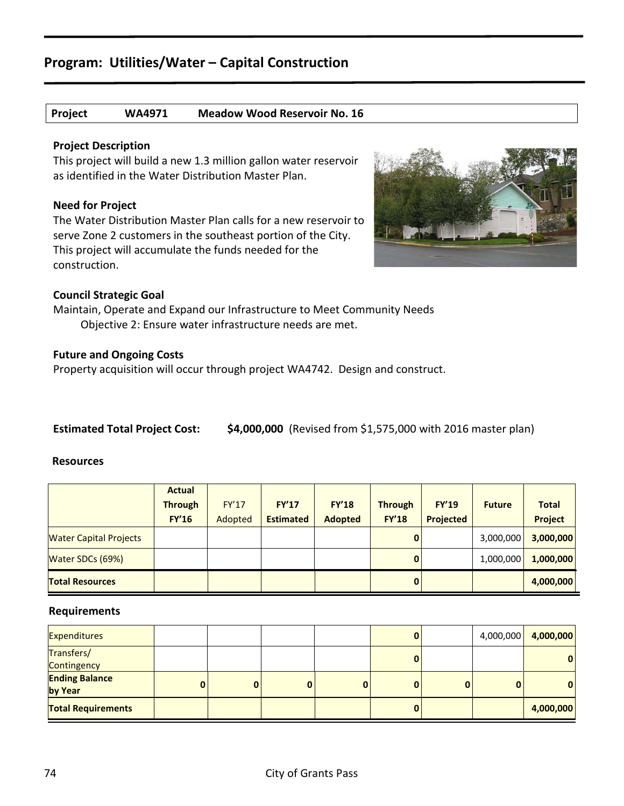## **Project WA4971 Meadow Wood Reservoir No. 16**

## **Project Description**

This project will build a new 1.3 million gallon water reservoir as identified in the Water Distribution Master Plan.

## **Need for Project**

The Water Distribution Master Plan calls for a new reservoir to serve Zone 2 customers in the southeast portion of the City. This project will accumulate the funds needed for the construction.



## **Council Strategic Goal**

Maintain, Operate and Expand our Infrastructure to Meet Community Needs Objective 2: Ensure water infrastructure needs are met.

## **Future and Ongoing Costs**

Property acquisition will occur through project WA4742. Design and construct.

**Estimated Total Project Cost: \$4,000,000** (Revised from \$1,575,000 with 2016 master plan)

#### **Resources**

|                               | <b>Actual</b>  |         |                  |                |                |              |               |              |
|-------------------------------|----------------|---------|------------------|----------------|----------------|--------------|---------------|--------------|
|                               | <b>Through</b> | FY'17   | <b>FY'17</b>     | <b>FY'18</b>   | <b>Through</b> | <b>FY'19</b> | <b>Future</b> | <b>Total</b> |
|                               | <b>FY'16</b>   | Adopted | <b>Estimated</b> | <b>Adopted</b> | <b>FY'18</b>   | Projected    |               | Project      |
| <b>Water Capital Projects</b> |                |         |                  |                | 0              |              | 3,000,000     | 3,000,000    |
| Water SDCs (69%)              |                |         |                  |                | $\bf{0}$       |              | 1,000,000     | 1,000,000    |
| <b>Total Resources</b>        |                |         |                  |                | 0              |              |               | 4,000,000    |

| <b>Expenditures</b>              |   |  | 0 |   |   | 4,000,000 4,000,000 |
|----------------------------------|---|--|---|---|---|---------------------|
| Transfers/<br>Contingency        |   |  | 0 |   |   | $\mathbf{0}$        |
| <b>Ending Balance</b><br>by Year | 0 |  | 0 | 0 | 0 | 0                   |
| <b>Total Requirements</b>        |   |  | U |   |   | 4,000,000           |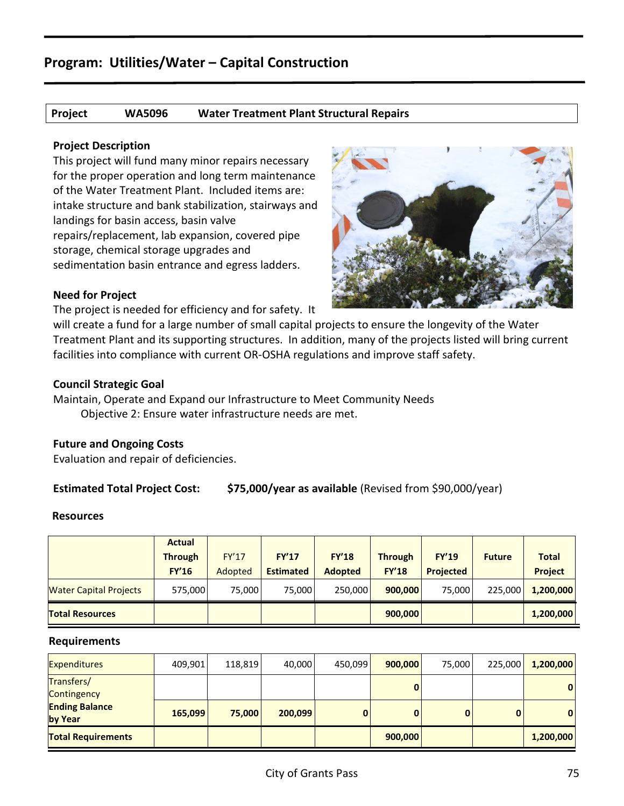## **Project WA5096 Water Treatment Plant Structural Repairs**

## **Project Description**

This project will fund many minor repairs necessary for the proper operation and long term maintenance of the Water Treatment Plant. Included items are: intake structure and bank stabilization, stairways and landings for basin access, basin valve repairs/replacement, lab expansion, covered pipe storage, chemical storage upgrades and sedimentation basin entrance and egress ladders.



## **Need for Project**

The project is needed for efficiency and for safety. It

will create a fund for a large number of small capital projects to ensure the longevity of the Water Treatment Plant and its supporting structures. In addition, many of the projects listed will bring current facilities into compliance with current OR-OSHA regulations and improve staff safety.

## **Council Strategic Goal**

Maintain, Operate and Expand our Infrastructure to Meet Community Needs Objective 2: Ensure water infrastructure needs are met.

## **Future and Ongoing Costs**

Evaluation and repair of deficiencies.

## **Estimated Total Project Cost: \$75,000/year as available** (Revised from \$90,000/year)

#### **Resources**

|                               | <b>Actual</b>  |         |                  |                |                |                  |               |                |
|-------------------------------|----------------|---------|------------------|----------------|----------------|------------------|---------------|----------------|
|                               | <b>Through</b> | FY'17   | FY'17            | FY'18          | <b>Through</b> | <b>FY'19</b>     | <b>Future</b> | <b>Total</b>   |
|                               | <b>FY'16</b>   | Adopted | <b>Estimated</b> | <b>Adopted</b> | <b>FY'18</b>   | <b>Projected</b> |               | <b>Project</b> |
| <b>Water Capital Projects</b> | 575,000        | 75.000  | 75.000           | 250.000        | 900,000        | 75.000           | 225.000       | 1,200,000      |
| <b>Total Resources</b>        |                |         |                  |                | 900,000        |                  |               | 1,200,000      |

| <b>Expenditures</b>              | 409,901 | 118,819 | 40,000  | 450,099 | 900,000  | 75,000 | 225,000 | 1,200,000    |
|----------------------------------|---------|---------|---------|---------|----------|--------|---------|--------------|
| Transfers/<br>Contingency        |         |         |         |         |          |        |         | $\mathbf{0}$ |
| <b>Ending Balance</b><br>by Year | 165,099 | 75,000  | 200,099 |         | $\bf{0}$ | 0      | 0       | $\mathbf{0}$ |
| <b>Total Requirements</b>        |         |         |         |         | 900,000  |        |         | 1,200,000    |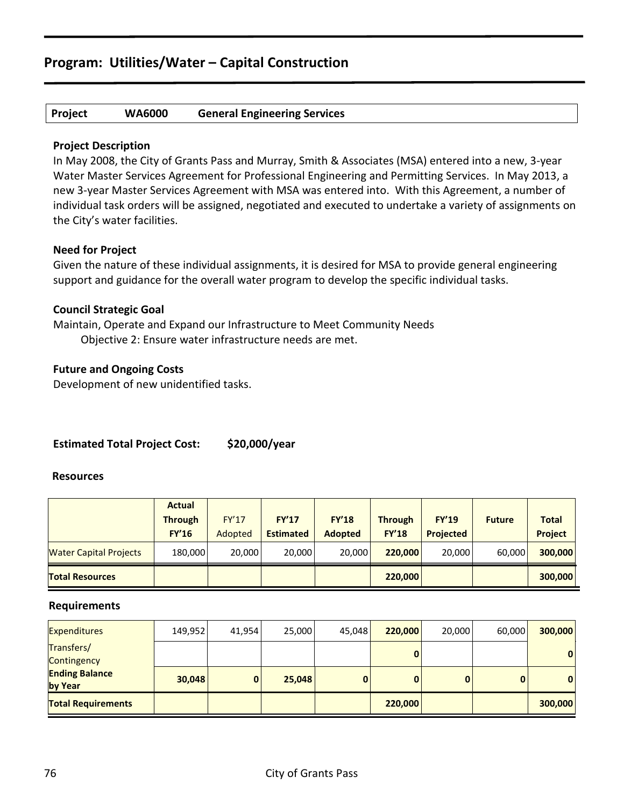## **Project WA6000 General Engineering Services**

## **Project Description**

In May 2008, the City of Grants Pass and Murray, Smith & Associates (MSA) entered into a new, 3-year Water Master Services Agreement for Professional Engineering and Permitting Services. In May 2013, a new 3-year Master Services Agreement with MSA was entered into. With this Agreement, a number of individual task orders will be assigned, negotiated and executed to undertake a variety of assignments on the City's water facilities.

## **Need for Project**

Given the nature of these individual assignments, it is desired for MSA to provide general engineering support and guidance for the overall water program to develop the specific individual tasks.

## **Council Strategic Goal**

Maintain, Operate and Expand our Infrastructure to Meet Community Needs Objective 2: Ensure water infrastructure needs are met.

## **Future and Ongoing Costs**

Development of new unidentified tasks.

## **Estimated Total Project Cost: \$20,000/year**

## **Resources**

|                               | <b>Actual</b>  |         |                  |                |                |                  |               |                |
|-------------------------------|----------------|---------|------------------|----------------|----------------|------------------|---------------|----------------|
|                               | <b>Through</b> | FY'17   | FY'17            | <b>FY'18</b>   | <b>Through</b> | <b>FY'19</b>     | <b>Future</b> | <b>Total</b>   |
|                               | <b>FY'16</b>   | Adopted | <b>Estimated</b> | <b>Adopted</b> | <b>FY'18</b>   | <b>Projected</b> |               | <b>Project</b> |
| <b>Water Capital Projects</b> | 180,000        | 20,000  | 20,000           | 20,000         | 220,000        | 20,000           | 60,000        | 300,000        |
| <b>Total Resources</b>        |                |         |                  |                | 220,000        |                  |               | 300,000        |

| <b>Expenditures</b>              | 149,952 | 41,954 | 25,000 | 45,048 | 220,000 | 20,000 | 60,000 | 300,000      |
|----------------------------------|---------|--------|--------|--------|---------|--------|--------|--------------|
| Transfers/<br>Contingency        |         |        |        |        | 0       |        |        | $\mathbf{0}$ |
| <b>Ending Balance</b><br>by Year | 30,048  | 0      | 25,048 |        | 0       | 0      |        | $\mathbf{0}$ |
| <b>Total Requirements</b>        |         |        |        |        | 220,000 |        |        | 300,000      |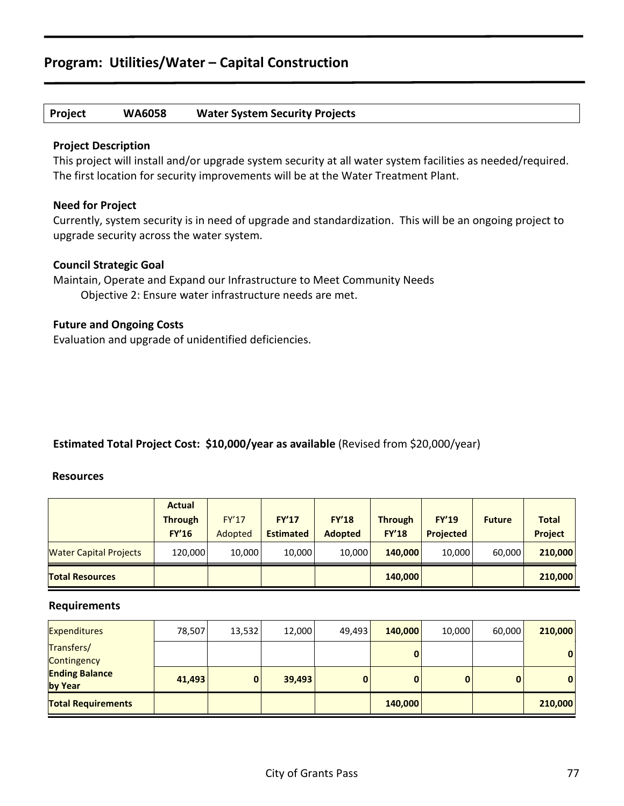## **Project WA6058 Water System Security Projects**

## **Project Description**

This project will install and/or upgrade system security at all water system facilities as needed/required. The first location for security improvements will be at the Water Treatment Plant.

## **Need for Project**

Currently, system security is in need of upgrade and standardization. This will be an ongoing project to upgrade security across the water system.

## **Council Strategic Goal**

Maintain, Operate and Expand our Infrastructure to Meet Community Needs Objective 2: Ensure water infrastructure needs are met.

## **Future and Ongoing Costs**

Evaluation and upgrade of unidentified deficiencies.

## **Estimated Total Project Cost: \$10,000/year as available** (Revised from \$20,000/year)

## **Resources**

|                               | <b>Actual</b>  |         |                  |                |                |                  |               |              |
|-------------------------------|----------------|---------|------------------|----------------|----------------|------------------|---------------|--------------|
|                               | <b>Through</b> | FY'17   | FY'17            | <b>FY'18</b>   | <b>Through</b> | <b>FY'19</b>     | <b>Future</b> | <b>Total</b> |
|                               | <b>FY'16</b>   | Adopted | <b>Estimated</b> | <b>Adopted</b> | <b>FY'18</b>   | <b>Projected</b> |               | Project      |
| <b>Water Capital Projects</b> | 120,000        | 10,000  | 10,000           | 10.000         | 140,000        | 10,000           | 60.000        | 210,000      |
| <b>Total Resources</b>        |                |         |                  |                | 140,000        |                  |               | 210,000      |

| <b>Expenditures</b>              | 78,507 | 13,532 | 12,000 | 49,493 | 140,000 | 10,000 | 60,000 | 210,000 |
|----------------------------------|--------|--------|--------|--------|---------|--------|--------|---------|
| Transfers/<br>Contingency        |        |        |        |        | 0       |        |        | 0       |
| <b>Ending Balance</b><br>by Year | 41,493 |        | 39,493 | 0      | 0       | 0      | 0      | 0       |
| <b>Total Requirements</b>        |        |        |        |        | 140,000 |        |        | 210,000 |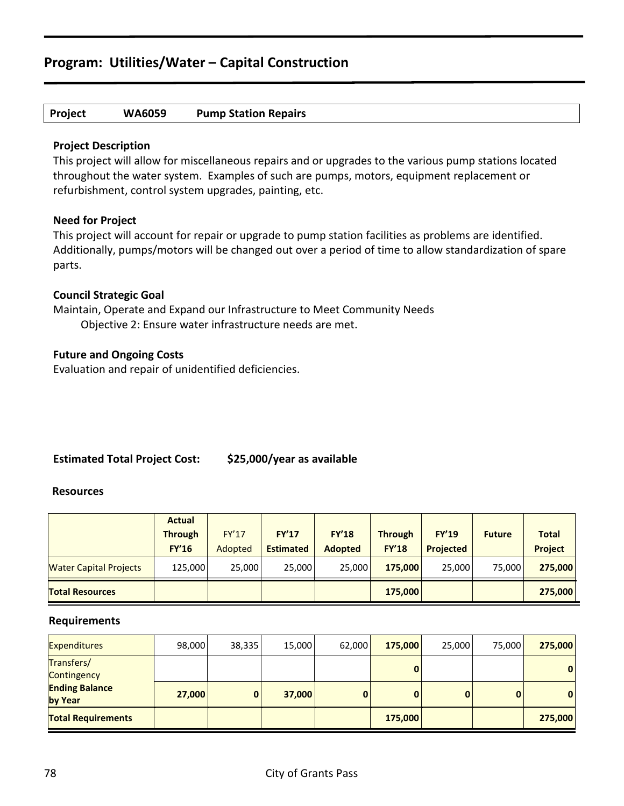## **Project WA6059 Pump Station Repairs**

## **Project Description**

This project will allow for miscellaneous repairs and or upgrades to the various pump stations located throughout the water system. Examples of such are pumps, motors, equipment replacement or refurbishment, control system upgrades, painting, etc.

## **Need for Project**

This project will account for repair or upgrade to pump station facilities as problems are identified. Additionally, pumps/motors will be changed out over a period of time to allow standardization of spare parts.

## **Council Strategic Goal**

Maintain, Operate and Expand our Infrastructure to Meet Community Needs Objective 2: Ensure water infrastructure needs are met.

## **Future and Ongoing Costs**

Evaluation and repair of unidentified deficiencies.

## **Estimated Total Project Cost: \$25,000/year as available**

#### **Resources**

|                               | <b>Actual</b>  |              |                  |                |                |                  |               |                |
|-------------------------------|----------------|--------------|------------------|----------------|----------------|------------------|---------------|----------------|
|                               | <b>Through</b> | <b>FY'17</b> | FY'17            | <b>FY'18</b>   | <b>Through</b> | <b>FY'19</b>     | <b>Future</b> | <b>Total</b>   |
|                               | <b>FY'16</b>   | Adopted      | <b>Estimated</b> | <b>Adopted</b> | <b>FY'18</b>   | <b>Projected</b> |               | <b>Project</b> |
| <b>Water Capital Projects</b> | 125.000        | 25,000       | 25,000           | 25,000         | 175,000        | 25,000           | 75.000        | 275,000        |
| <b>Total Resources</b>        |                |              |                  |                | 175,000        |                  |               | 275,000        |

| <b>Expenditures</b>              | 98,000 | 38,335 | 15,000 | 62,000 | 175,000 | 25,000 | 75,000 | 275,000      |
|----------------------------------|--------|--------|--------|--------|---------|--------|--------|--------------|
| Transfers/<br>Contingency        |        |        |        |        | 0       |        |        | $\mathbf{0}$ |
| <b>Ending Balance</b><br>by Year | 27,000 |        | 37,000 |        |         | o      |        | $\mathbf{0}$ |
| <b>Total Requirements</b>        |        |        |        |        | 175,000 |        |        | 275,000      |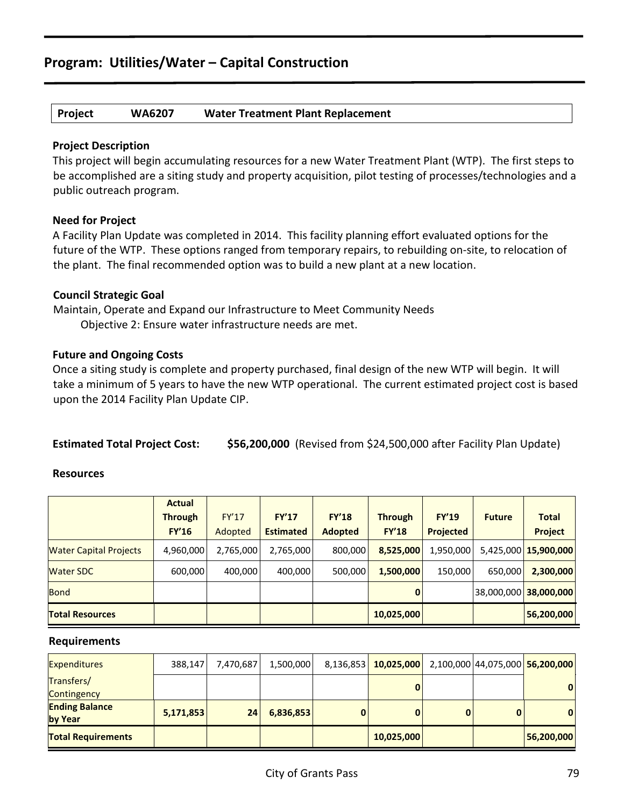## **Project WA6207 Water Treatment Plant Replacement**

## **Project Description**

This project will begin accumulating resources for a new Water Treatment Plant (WTP). The first steps to be accomplished are a siting study and property acquisition, pilot testing of processes/technologies and a public outreach program.

## **Need for Project**

A Facility Plan Update was completed in 2014. This facility planning effort evaluated options for the future of the WTP. These options ranged from temporary repairs, to rebuilding on-site, to relocation of the plant. The final recommended option was to build a new plant at a new location.

## **Council Strategic Goal**

Maintain, Operate and Expand our Infrastructure to Meet Community Needs Objective 2: Ensure water infrastructure needs are met.

## **Future and Ongoing Costs**

Once a siting study is complete and property purchased, final design of the new WTP will begin. It will take a minimum of 5 years to have the new WTP operational. The current estimated project cost is based upon the 2014 Facility Plan Update CIP.

**Estimated Total Project Cost: \$56,200,000** (Revised from \$24,500,000 after Facility Plan Update)

## **Resources**

|                               | <b>Actual</b><br><b>Through</b><br><b>FY'16</b> | FY'17<br>Adopted | FY'17<br><b>Estimated</b> | <b>FY'18</b><br><b>Adopted</b> | <b>Through</b><br><b>FY'18</b> | <b>FY'19</b><br><b>Projected</b> | <b>Future</b> | <b>Total</b><br>Project |
|-------------------------------|-------------------------------------------------|------------------|---------------------------|--------------------------------|--------------------------------|----------------------------------|---------------|-------------------------|
| <b>Water Capital Projects</b> | 4,960,000                                       | 2,765,000        | 2,765,000                 | 800,000                        | 8,525,000                      | 1,950,000                        |               | 5,425,000 15,900,000    |
| <b>Water SDC</b>              | 600,000                                         | 400.000          | 400,000                   | 500,000                        | 1,500,000                      | 150,000                          | 650,000       | 2,300,000               |
| <b>Bond</b>                   |                                                 |                  |                           |                                | $\mathbf{0}$                   |                                  |               | 38,000,000 38,000,000   |
| <b>Total Resources</b>        |                                                 |                  |                           |                                | 10,025,000                     |                                  |               | 56,200,000              |

| <b>Expenditures</b>              | 388,147   | 7,470,687 | 1,500,000 | 8,136,853 10,025,000 |  | 2,100,000 44,075,000 56,200,000 |
|----------------------------------|-----------|-----------|-----------|----------------------|--|---------------------------------|
| Transfers/<br>Contingency        |           |           |           | 0                    |  | $\mathbf{0}$                    |
| <b>Ending Balance</b><br>by Year | 5,171,853 | 24        | 6,836,853 |                      |  | $\mathbf{0}$                    |
| <b>Total Requirements</b>        |           |           |           | 10,025,000           |  | 56,200,000                      |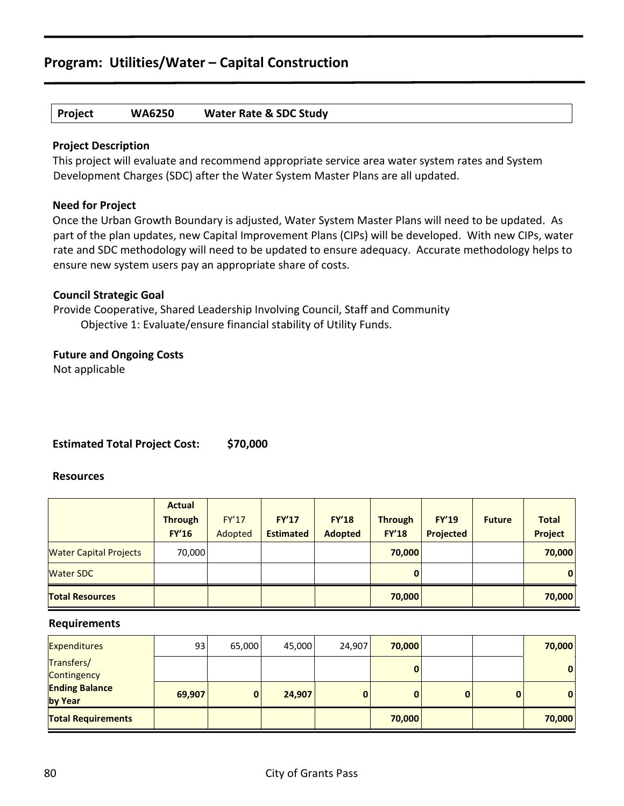## **Project WA6250 Water Rate & SDC Study**

## **Project Description**

This project will evaluate and recommend appropriate service area water system rates and System Development Charges (SDC) after the Water System Master Plans are all updated.

## **Need for Project**

Once the Urban Growth Boundary is adjusted, Water System Master Plans will need to be updated. As part of the plan updates, new Capital Improvement Plans (CIPs) will be developed. With new CIPs, water rate and SDC methodology will need to be updated to ensure adequacy. Accurate methodology helps to ensure new system users pay an appropriate share of costs.

## **Council Strategic Goal**

Provide Cooperative, Shared Leadership Involving Council, Staff and Community Objective 1: Evaluate/ensure financial stability of Utility Funds.

## **Future and Ongoing Costs**

Not applicable

## **Estimated Total Project Cost: \$70,000**

## **Resources**

|                               | <b>Actual</b>  |              |                  |                |                |                  |               |              |
|-------------------------------|----------------|--------------|------------------|----------------|----------------|------------------|---------------|--------------|
|                               | <b>Through</b> | <b>FY'17</b> | <b>FY'17</b>     | <b>FY'18</b>   | <b>Through</b> | <b>FY'19</b>     | <b>Future</b> | <b>Total</b> |
|                               | <b>FY'16</b>   | Adopted      | <b>Estimated</b> | <b>Adopted</b> | <b>FY'18</b>   | <b>Projected</b> |               | Project      |
| <b>Water Capital Projects</b> | 70,000         |              |                  |                | 70,000         |                  |               | 70,000       |
| <b>Water SDC</b>              |                |              |                  |                | $\mathbf{0}$   |                  |               | $\mathbf{0}$ |
| <b>Total Resources</b>        |                |              |                  |                | 70,000         |                  |               | 70,000       |

| <b>Expenditures</b>              | 93     | 65,000 | 45,000 | 24,907 | 70,000 |              | 70,000       |
|----------------------------------|--------|--------|--------|--------|--------|--------------|--------------|
| Transfers/<br>Contingency        |        |        |        |        | 0      |              | $\mathbf{0}$ |
| <b>Ending Balance</b><br>by Year | 69,907 | 0      | 24,907 |        | 0      | $\mathbf{0}$ | $\mathbf{0}$ |
| <b>Total Requirements</b>        |        |        |        |        | 70,000 |              | 70,000       |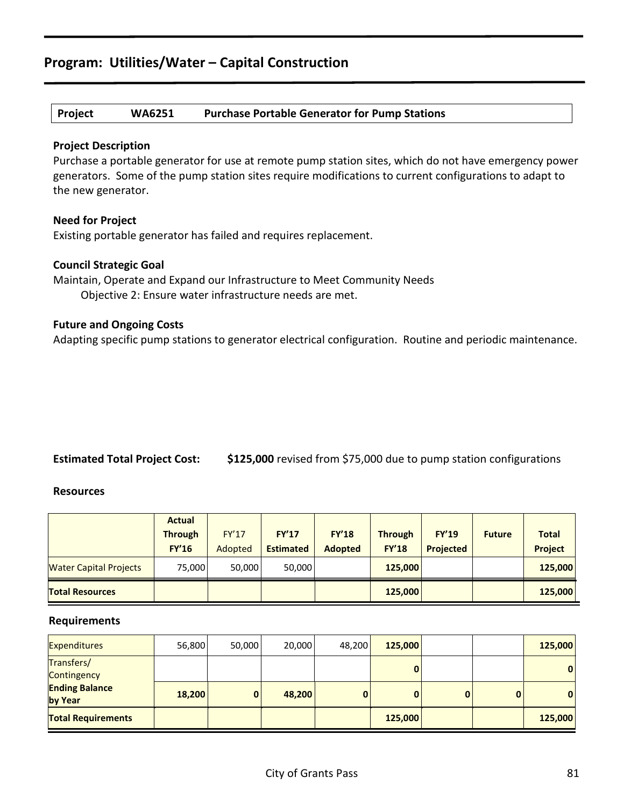## **Project WA6251 Purchase Portable Generator for Pump Stations**

## **Project Description**

Purchase a portable generator for use at remote pump station sites, which do not have emergency power generators. Some of the pump station sites require modifications to current configurations to adapt to the new generator.

## **Need for Project**

Existing portable generator has failed and requires replacement.

## **Council Strategic Goal**

Maintain, Operate and Expand our Infrastructure to Meet Community Needs Objective 2: Ensure water infrastructure needs are met.

## **Future and Ongoing Costs**

Adapting specific pump stations to generator electrical configuration. Routine and periodic maintenance.

## **Estimated Total Project Cost: \$125,000** revised from \$75,000 due to pump station configurations

#### **Resources**

|                               | <b>Actual</b>  |              |                  |                |                |                  |               |                |
|-------------------------------|----------------|--------------|------------------|----------------|----------------|------------------|---------------|----------------|
|                               | <b>Through</b> | <b>FY'17</b> | FY'17            | <b>FY'18</b>   | <b>Through</b> | <b>FY'19</b>     | <b>Future</b> | <b>Total</b>   |
|                               | <b>FY'16</b>   | Adopted      | <b>Estimated</b> | <b>Adopted</b> | <b>FY'18</b>   | <b>Projected</b> |               | <b>Project</b> |
| <b>Water Capital Projects</b> | 75.000         | 50,000       | 50,000           |                | 125,000        |                  |               | 125,000        |
| <b>Total Resources</b>        |                |              |                  |                | 125,000        |                  |               | 125,000        |

| <b>Expenditures</b>              | 56,800 | 50,000 | 20,000 | 48,200 | 125,000 |   | 125,000 |
|----------------------------------|--------|--------|--------|--------|---------|---|---------|
| Transfers/<br>Contingency        |        |        |        |        | 0       |   | 0       |
| <b>Ending Balance</b><br>by Year | 18,200 | 0      | 48,200 |        | 0       | 0 | 0       |
| <b>Total Requirements</b>        |        |        |        |        | 125,000 |   | 125,000 |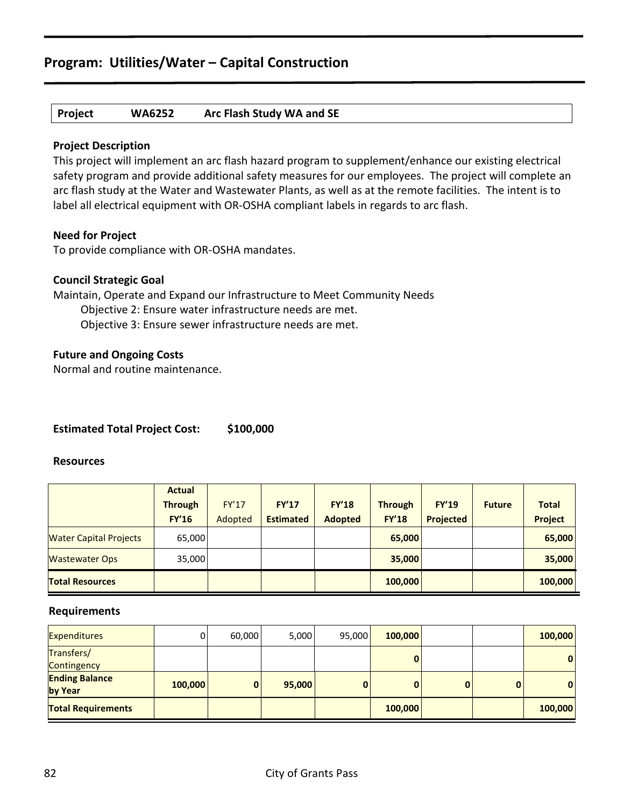## **Project WA6252 Arc Flash Study WA and SE**

## **Project Description**

This project will implement an arc flash hazard program to supplement/enhance our existing electrical safety program and provide additional safety measures for our employees. The project will complete an arc flash study at the Water and Wastewater Plants, as well as at the remote facilities. The intent is to label all electrical equipment with OR-OSHA compliant labels in regards to arc flash.

## **Need for Project**

To provide compliance with OR-OSHA mandates.

## **Council Strategic Goal**

Maintain, Operate and Expand our Infrastructure to Meet Community Needs Objective 2: Ensure water infrastructure needs are met. Objective 3: Ensure sewer infrastructure needs are met.

## **Future and Ongoing Costs**

Normal and routine maintenance.

## **Estimated Total Project Cost: \$100,000**

#### **Resources**

|                               | <b>Actual</b>  |              |                  |                |                |                  |               |              |
|-------------------------------|----------------|--------------|------------------|----------------|----------------|------------------|---------------|--------------|
|                               | <b>Through</b> | <b>FY'17</b> | FY'17            | <b>FY'18</b>   | <b>Through</b> | <b>FY'19</b>     | <b>Future</b> | <b>Total</b> |
|                               | <b>FY'16</b>   | Adopted      | <b>Estimated</b> | <b>Adopted</b> | <b>FY'18</b>   | <b>Projected</b> |               | Project      |
| <b>Water Capital Projects</b> | 65,000         |              |                  |                | 65,000         |                  |               | 65,000       |
| <b>Wastewater Ops</b>         | 35,000         |              |                  |                | 35,000         |                  |               | 35,000       |
| <b>Total Resources</b>        |                |              |                  |                | 100,000        |                  |               | 100,000      |

| <b>Expenditures</b>       | 0       | 60,000 | 5,000  | 95,000 | 100,000 |   |   | 100,000      |
|---------------------------|---------|--------|--------|--------|---------|---|---|--------------|
| Transfers/                |         |        |        |        | 0       |   |   | $\mathbf{0}$ |
| Contingency               |         |        |        |        |         |   |   |              |
| <b>Ending Balance</b>     | 100,000 | 0      | 95,000 |        | 0       | 0 | O | $\mathbf{0}$ |
| by Year                   |         |        |        |        |         |   |   |              |
| <b>Total Requirements</b> |         |        |        |        | 100,000 |   |   | 100,000      |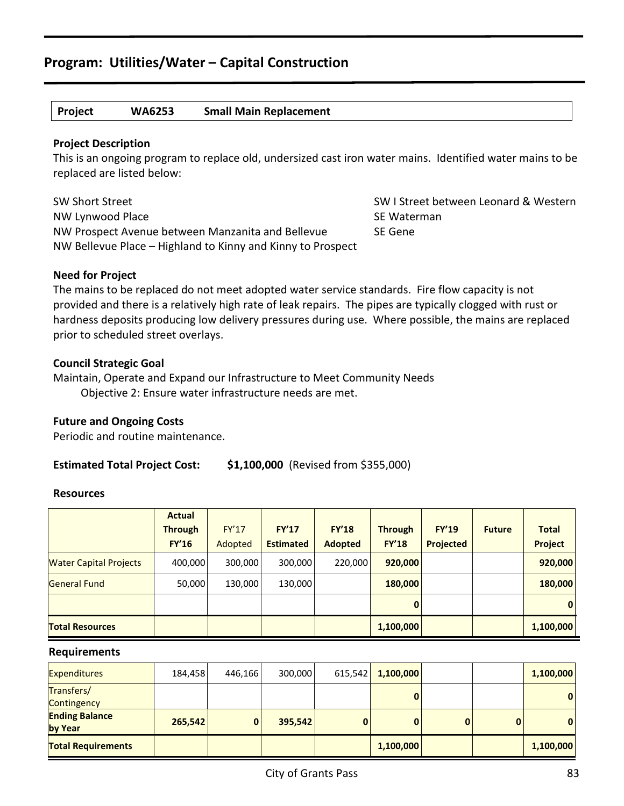## **Project WA6253 Small Main Replacement**

## **Project Description**

This is an ongoing program to replace old, undersized cast iron water mains. Identified water mains to be replaced are listed below:

SW Short Street Street Switchers SW I Street between Leonard & Western NW Lynwood Place and SE Waterman SE Waterman NW Prospect Avenue between Manzanita and Bellevue SE Gene NW Bellevue Place – Highland to Kinny and Kinny to Prospect

## **Need for Project**

The mains to be replaced do not meet adopted water service standards. Fire flow capacity is not provided and there is a relatively high rate of leak repairs. The pipes are typically clogged with rust or hardness deposits producing low delivery pressures during use. Where possible, the mains are replaced prior to scheduled street overlays.

## **Council Strategic Goal**

Maintain, Operate and Expand our Infrastructure to Meet Community Needs Objective 2: Ensure water infrastructure needs are met.

## **Future and Ongoing Costs**

Periodic and routine maintenance.

## **Estimated Total Project Cost: \$1,100,000** (Revised from \$355,000)

#### **Resources**

|                               | <b>Actual</b>  |         |                  |                |                |              |               |                |
|-------------------------------|----------------|---------|------------------|----------------|----------------|--------------|---------------|----------------|
|                               | <b>Through</b> | FY'17   | FY'17            | <b>FY'18</b>   | <b>Through</b> | <b>FY'19</b> | <b>Future</b> | <b>Total</b>   |
|                               | <b>FY'16</b>   | Adopted | <b>Estimated</b> | <b>Adopted</b> | <b>FY'18</b>   | Projected    |               | <b>Project</b> |
| <b>Water Capital Projects</b> | 400,000        | 300,000 | 300,000          | 220,000        | 920,000        |              |               | 920,000        |
| <b>General Fund</b>           | 50,000         | 130,000 | 130,000          |                | 180,000        |              |               | 180,000        |
|                               |                |         |                  |                | $\mathbf{0}$   |              |               | $\bf{0}$       |
| <b>Total Resources</b>        |                |         |                  |                | 1,100,000      |              |               | 1,100,000      |

| <b>Expenditures</b>              | 184,458 | 446,166 | 300,000 | 615,542 | 1,100,000 |   |   | 1,100,000 |
|----------------------------------|---------|---------|---------|---------|-----------|---|---|-----------|
| Transfers/<br>Contingency        |         |         |         |         |           |   |   | 0         |
| <b>Ending Balance</b><br>by Year | 265,542 | 0       | 395,542 |         | 0         | 0 | 0 | 0         |
| <b>Total Requirements</b>        |         |         |         |         | 1,100,000 |   |   | 1,100,000 |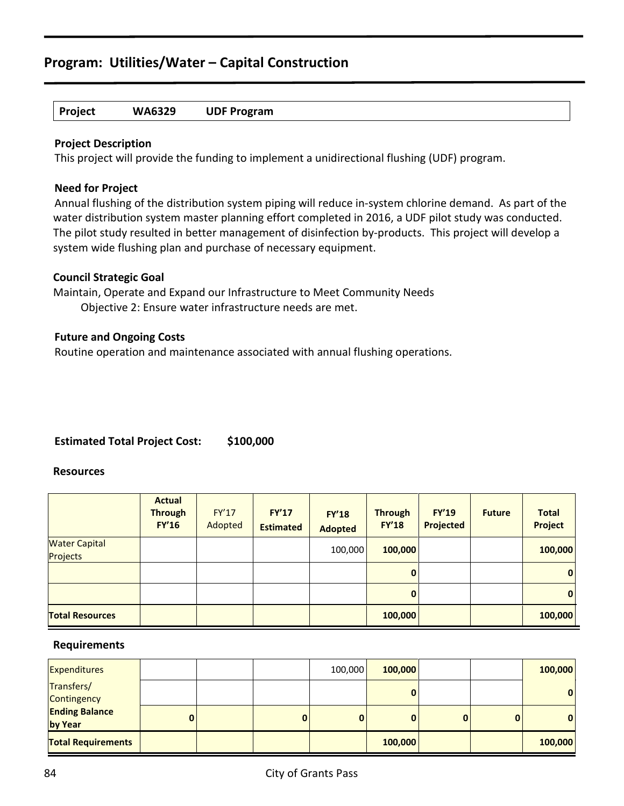## **Project WA6329 UDF Program**

## **Project Description**

This project will provide the funding to implement a unidirectional flushing (UDF) program.

## **Need for Project**

Annual flushing of the distribution system piping will reduce in-system chlorine demand. As part of the water distribution system master planning effort completed in 2016, a UDF pilot study was conducted. The pilot study resulted in better management of disinfection by-products. This project will develop a system wide flushing plan and purchase of necessary equipment.

## **Council Strategic Goal**

Maintain, Operate and Expand our Infrastructure to Meet Community Needs Objective 2: Ensure water infrastructure needs are met.

## **Future and Ongoing Costs**

Routine operation and maintenance associated with annual flushing operations.

## **Estimated Total Project Cost: \$100,000**

## **Resources**

|                                  | <b>Actual</b><br><b>Through</b><br><b>FY'16</b> | FY'17<br>Adopted | <b>FY'17</b><br><b>Estimated</b> | <b>FY'18</b><br><b>Adopted</b> | <b>Through</b><br><b>FY'18</b> | <b>FY'19</b><br><b>Projected</b> | <b>Future</b> | <b>Total</b><br><b>Project</b> |
|----------------------------------|-------------------------------------------------|------------------|----------------------------------|--------------------------------|--------------------------------|----------------------------------|---------------|--------------------------------|
| <b>Water Capital</b><br>Projects |                                                 |                  |                                  | 100,000                        | 100,000                        |                                  |               | 100,000                        |
|                                  |                                                 |                  |                                  |                                | $\mathbf{0}$                   |                                  |               | $\overline{0}$                 |
|                                  |                                                 |                  |                                  |                                | $\mathbf{0}$                   |                                  |               | $\mathbf{0}$                   |
| <b>Total Resources</b>           |                                                 |                  |                                  |                                | 100,000                        |                                  |               | 100,000                        |

| <b>Expenditures</b>              |   |          | 100,000 | 100,000      |   | 100,000      |
|----------------------------------|---|----------|---------|--------------|---|--------------|
| Transfers/<br>Contingency        |   |          |         | 0            |   | $\mathbf{0}$ |
| <b>Ending Balance</b><br>by Year | 0 | $\bf{0}$ | 0       | $\mathbf{0}$ | 0 | 0            |
| <b>Total Requirements</b>        |   |          |         | 100,000      |   | 100,000      |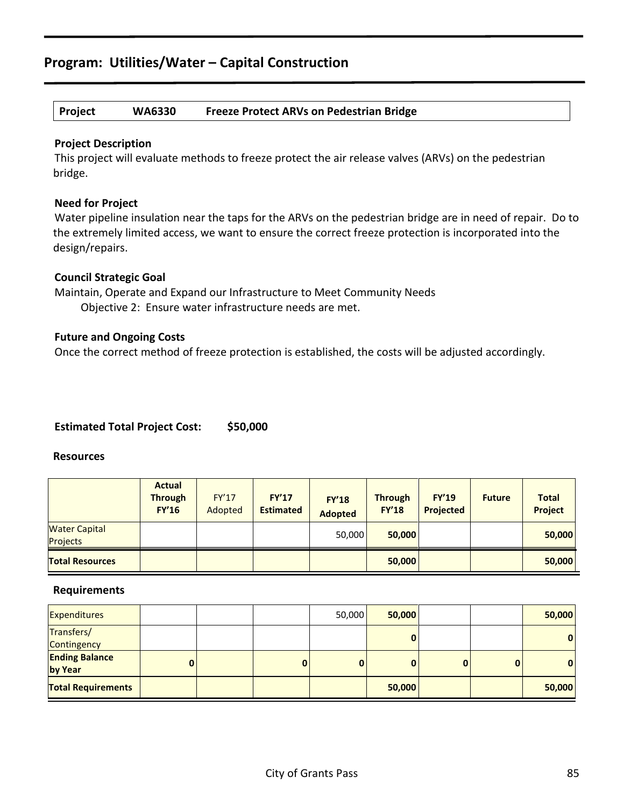## **Project WA6330 Freeze Protect ARVs on Pedestrian Bridge**

## **Project Description**

This project will evaluate methods to freeze protect the air release valves (ARVs) on the pedestrian bridge.

## **Need for Project**

Water pipeline insulation near the taps for the ARVs on the pedestrian bridge are in need of repair. Do to the extremely limited access, we want to ensure the correct freeze protection is incorporated into the design/repairs.

## **Council Strategic Goal**

Maintain, Operate and Expand our Infrastructure to Meet Community Needs Objective 2: Ensure water infrastructure needs are met.

## **Future and Ongoing Costs**

Once the correct method of freeze protection is established, the costs will be adjusted accordingly.

## **Estimated Total Project Cost: \$50,000**

#### **Resources**

|                                  | <b>Actual</b><br><b>Through</b><br><b>FY'16</b> | <b>FY'17</b><br>Adopted | <b>FY'17</b><br><b>Estimated</b> | <b>FY'18</b><br><b>Adopted</b> | <b>Through</b><br><b>FY'18</b> | <b>FY'19</b><br>Projected | <b>Future</b> | <b>Total</b><br><b>Project</b> |
|----------------------------------|-------------------------------------------------|-------------------------|----------------------------------|--------------------------------|--------------------------------|---------------------------|---------------|--------------------------------|
| <b>Water Capital</b><br>Projects |                                                 |                         |                                  | 50,000                         | 50,000                         |                           |               | 50,000                         |
| <b>Total Resources</b>           |                                                 |                         |                                  |                                | 50,000                         |                           |               | 50,000                         |

| Expenditures                     |              |             | 50,000 | 50,000 |          | 50,000 |
|----------------------------------|--------------|-------------|--------|--------|----------|--------|
| Transfers/<br>Contingency        |              |             |        |        |          | 0      |
| <b>Ending Balance</b><br>by Year | $\mathbf{0}$ | $\mathbf 0$ | 0      |        | $\bf{0}$ | 0      |
| <b>Total Requirements</b>        |              |             |        | 50,000 |          | 50,000 |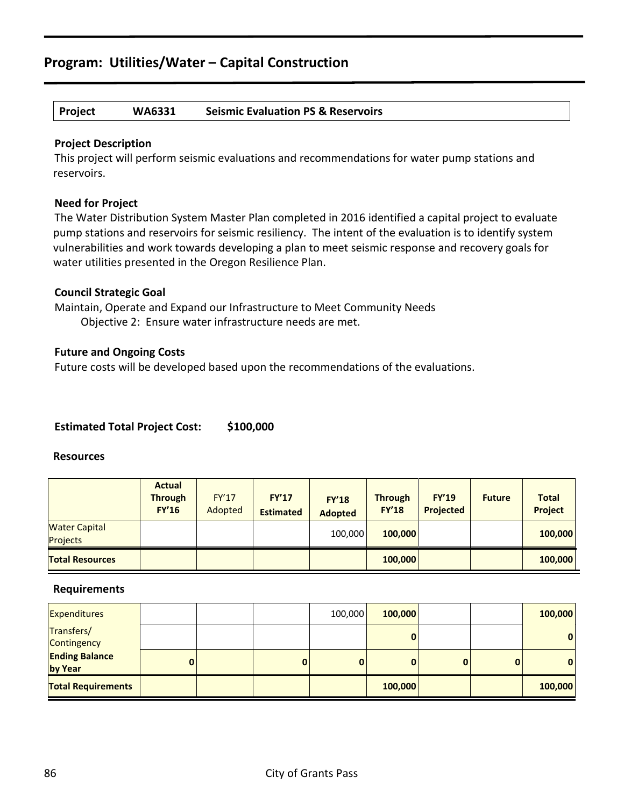## **Project WA6331 Seismic Evaluation PS & Reservoirs**

## **Project Description**

This project will perform seismic evaluations and recommendations for water pump stations and reservoirs.

## **Need for Project**

The Water Distribution System Master Plan completed in 2016 identified a capital project to evaluate pump stations and reservoirs for seismic resiliency. The intent of the evaluation is to identify system vulnerabilities and work towards developing a plan to meet seismic response and recovery goals for water utilities presented in the Oregon Resilience Plan.

## **Council Strategic Goal**

Maintain, Operate and Expand our Infrastructure to Meet Community Needs Objective 2: Ensure water infrastructure needs are met.

## **Future and Ongoing Costs**

Future costs will be developed based upon the recommendations of the evaluations.

## **Estimated Total Project Cost: \$100,000**

#### **Resources**

|                                  | <b>Actual</b><br><b>Through</b><br><b>FY'16</b> | <b>FY'17</b><br>Adopted | <b>FY'17</b><br><b>Estimated</b> | <b>FY'18</b><br><b>Adopted</b> | <b>Through</b><br><b>FY'18</b> | <b>FY'19</b><br><b>Projected</b> | <b>Future</b> | <b>Total</b><br><b>Project</b> |
|----------------------------------|-------------------------------------------------|-------------------------|----------------------------------|--------------------------------|--------------------------------|----------------------------------|---------------|--------------------------------|
| <b>Water Capital</b><br>Projects |                                                 |                         |                                  | 100,000                        | 100,000                        |                                  |               | 100,000                        |
| <b>Total Resources</b>           |                                                 |                         |                                  |                                | 100,000                        |                                  |               | 100,000                        |

| <b>Expenditures</b>              |   |   | 100,000  | 100,000 |   |          | 100,000      |
|----------------------------------|---|---|----------|---------|---|----------|--------------|
| Transfers/<br>Contingency        |   |   |          |         |   |          | $\mathbf{0}$ |
| <b>Ending Balance</b><br>by Year | 0 | 0 | $\bf{0}$ | 0       | 0 | $\bf{0}$ | $\mathbf{0}$ |
| <b>Total Requirements</b>        |   |   |          | 100,000 |   |          | 100,000      |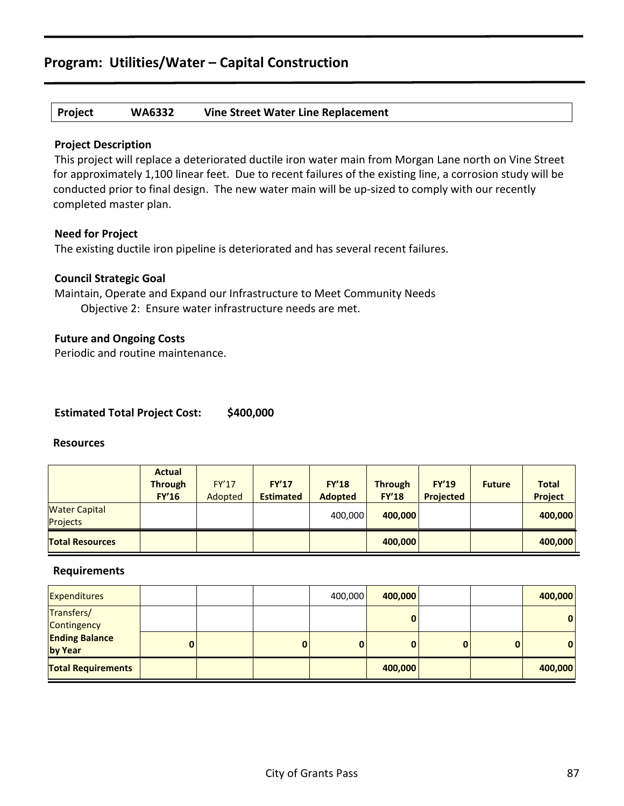## **Project WA6332 Vine Street Water Line Replacement**

## **Project Description**

This project will replace a deteriorated ductile iron water main from Morgan Lane north on Vine Street for approximately 1,100 linear feet. Due to recent failures of the existing line, a corrosion study will be conducted prior to final design. The new water main will be up-sized to comply with our recently completed master plan.

## **Need for Project**

The existing ductile iron pipeline is deteriorated and has several recent failures.

## **Council Strategic Goal**

Maintain, Operate and Expand our Infrastructure to Meet Community Needs Objective 2: Ensure water infrastructure needs are met.

## **Future and Ongoing Costs**

Periodic and routine maintenance.

## **Estimated Total Project Cost: \$400,000**

#### **Resources**

|                                  | <b>Actual</b><br><b>Through</b><br><b>FY'16</b> | <b>FY'17</b><br>Adopted | <b>FY'17</b><br><b>Estimated</b> | <b>FY'18</b><br><b>Adopted</b> | <b>Through</b><br><b>FY'18</b> | <b>FY'19</b><br>Projected | <b>Future</b> | <b>Total</b><br><b>Project</b> |
|----------------------------------|-------------------------------------------------|-------------------------|----------------------------------|--------------------------------|--------------------------------|---------------------------|---------------|--------------------------------|
| <b>Water Capital</b><br>Projects |                                                 |                         |                                  | 400,000                        | 400.000                        |                           |               | 400,000                        |
| <b>Total Resources</b>           |                                                 |                         |                                  |                                | 400,000                        |                           |               | 400,000                        |

| <b>Expenditures</b>              |   |          | 400,000  | 400,000 |   |          | 400,000      |
|----------------------------------|---|----------|----------|---------|---|----------|--------------|
| Transfers/<br>Contingency        |   |          |          | 0       |   |          | $\mathbf{0}$ |
| <b>Ending Balance</b><br>by Year | 0 | $\bf{0}$ | $\bf{0}$ | 0       | 0 | $\bf{0}$ | $\mathbf{0}$ |
| <b>Total Requirements</b>        |   |          |          | 400,000 |   |          | 400,000      |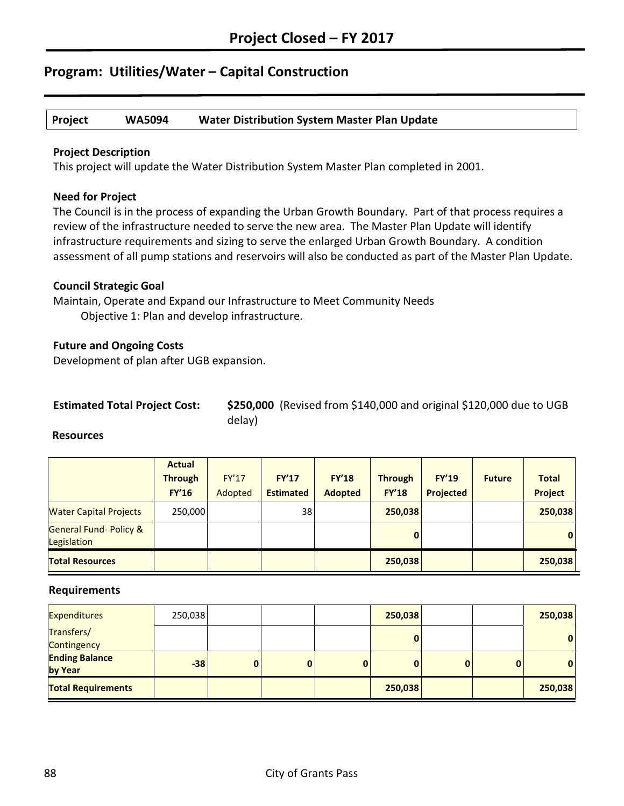## **Project WA5094 Water Distribution System Master Plan Update**

## **Project Description**

This project will update the Water Distribution System Master Plan completed in 2001.

## **Need for Project**

The Council is in the process of expanding the Urban Growth Boundary. Part of that process requires a review of the infrastructure needed to serve the new area. The Master Plan Update will identify infrastructure requirements and sizing to serve the enlarged Urban Growth Boundary. A condition assessment of all pump stations and reservoirs will also be conducted as part of the Master Plan Update.

## **Council Strategic Goal**

Maintain, Operate and Expand our Infrastructure to Meet Community Needs Objective 1: Plan and develop infrastructure.

## **Future and Ongoing Costs**

Development of plan after UGB expansion.

| <b>Estimated Total Project Cost:</b> |  | \$25 |
|--------------------------------------|--|------|
|                                      |  |      |

**50,000** (Revised from \$140,000 and original \$120,000 due to UGB delay)

## **Resources**

|                                                  | <b>Actual</b>  |              |                  |                |                |              |               |              |
|--------------------------------------------------|----------------|--------------|------------------|----------------|----------------|--------------|---------------|--------------|
|                                                  | <b>Through</b> | <b>FY'17</b> | FY'17            | <b>FY'18</b>   | <b>Through</b> | <b>FY'19</b> | <b>Future</b> | <b>Total</b> |
|                                                  | <b>FY'16</b>   | Adopted      | <b>Estimated</b> | <b>Adopted</b> | <b>FY'18</b>   | Projected    |               | Project      |
| <b>Water Capital Projects</b>                    | 250,000        |              | 38               |                | 250,038        |              |               | 250,038      |
| <b>General Fund- Policy &amp;</b><br>Legislation |                |              |                  |                | $\mathbf{0}$   |              |               | $\mathbf{0}$ |
| <b>Total Resources</b>                           |                |              |                  |                | 250,038        |              |               | 250,038      |

| <b>Expenditures</b>              | 250,038 |   |   | 250,038 |          |   | 250,038 |
|----------------------------------|---------|---|---|---------|----------|---|---------|
| Transfers/<br>Contingency        |         |   |   | 0       |          |   | 0       |
| <b>Ending Balance</b><br>by Year | $-38$   | 0 | 0 | 0       | $\bf{0}$ | 0 | 0       |
| <b>Total Requirements</b>        |         |   |   | 250,038 |          |   | 250,038 |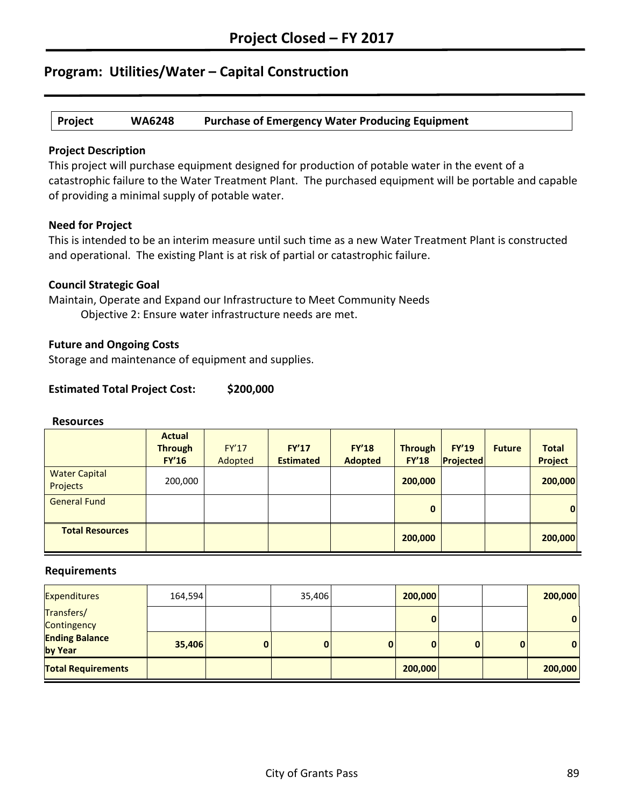|  | Project | <b>WA6248</b> | <b>Purchase of Emergency Water Producing Equipment</b> |
|--|---------|---------------|--------------------------------------------------------|
|--|---------|---------------|--------------------------------------------------------|

## **Project Description**

This project will purchase equipment designed for production of potable water in the event of a catastrophic failure to the Water Treatment Plant. The purchased equipment will be portable and capable of providing a minimal supply of potable water.

## **Need for Project**

This is intended to be an interim measure until such time as a new Water Treatment Plant is constructed and operational. The existing Plant is at risk of partial or catastrophic failure.

## **Council Strategic Goal**

Maintain, Operate and Expand our Infrastructure to Meet Community Needs Objective 2: Ensure water infrastructure needs are met.

## **Future and Ongoing Costs**

Storage and maintenance of equipment and supplies.

## **Estimated Total Project Cost: \$200,000**

#### **Resources**

|                                  | <b>Actual</b><br><b>Through</b><br><b>FY'16</b> | <b>FY'17</b><br>Adopted | FY'17<br><b>Estimated</b> | <b>FY'18</b><br><b>Adopted</b> | <b>Through</b><br><b>FY'18</b> | <b>FY'19</b><br>Projected | <b>Future</b> | <b>Total</b><br><b>Project</b> |
|----------------------------------|-------------------------------------------------|-------------------------|---------------------------|--------------------------------|--------------------------------|---------------------------|---------------|--------------------------------|
| <b>Water Capital</b><br>Projects | 200,000                                         |                         |                           |                                | 200,000                        |                           |               | 200,000                        |
| <b>General Fund</b>              |                                                 |                         |                           |                                | $\mathbf 0$                    |                           |               | $\mathbf{0}$                   |
| <b>Total Resources</b>           |                                                 |                         |                           |                                | 200,000                        |                           |               | 200,000                        |

| <b>Expenditures</b>              | 164,594 | 35,406 |              | 200,000  |   | 200,000      |
|----------------------------------|---------|--------|--------------|----------|---|--------------|
| Transfers/<br>Contingency        |         |        |              | $\bf{0}$ |   | $\mathbf{0}$ |
| <b>Ending Balance</b><br>by Year | 35,406  |        | $\mathbf{0}$ | 0        | 0 | $\mathbf{0}$ |
| <b>Total Requirements</b>        |         |        |              | 200,000  |   | 200,000      |